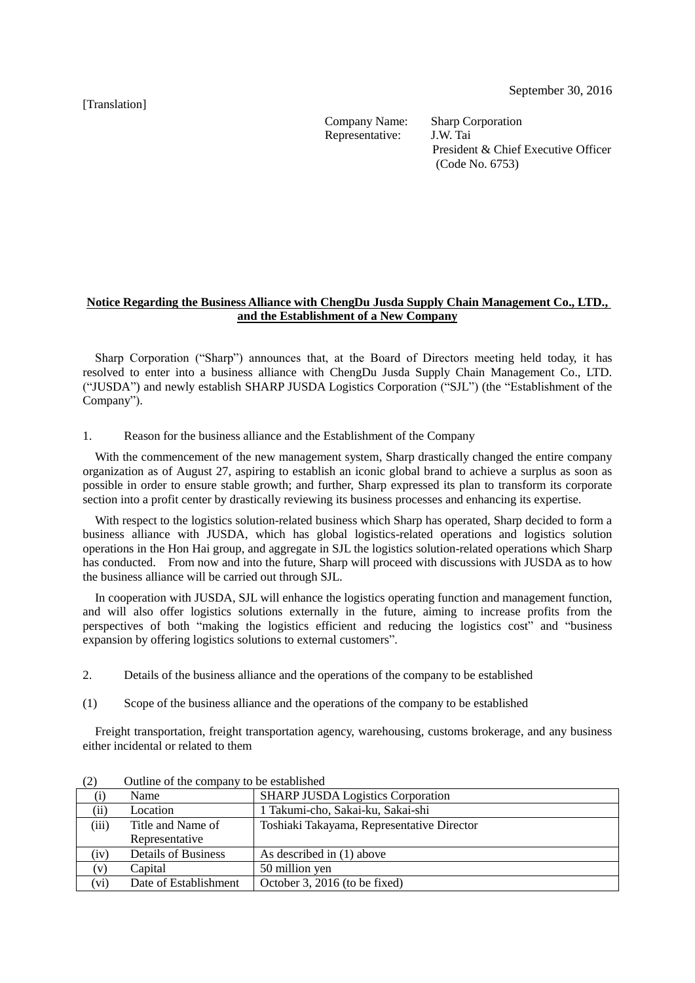[Translation]

Company Name: Sharp Corporation Representative: J.W. Tai

President & Chief Executive Officer (Code No. 6753)

## **Notice Regarding the Business Alliance with ChengDu Jusda Supply Chain Management Co., LTD., and the Establishment of a New Company**

Sharp Corporation ("Sharp") announces that, at the Board of Directors meeting held today, it has resolved to enter into a business alliance with ChengDu Jusda Supply Chain Management Co., LTD. ("JUSDA") and newly establish SHARP JUSDA Logistics Corporation ("SJL") (the "Establishment of the Company").

1. Reason for the business alliance and the Establishment of the Company

With the commencement of the new management system, Sharp drastically changed the entire company organization as of August 27, aspiring to establish an iconic global brand to achieve a surplus as soon as possible in order to ensure stable growth; and further, Sharp expressed its plan to transform its corporate section into a profit center by drastically reviewing its business processes and enhancing its expertise.

With respect to the logistics solution-related business which Sharp has operated, Sharp decided to form a business alliance with JUSDA, which has global logistics-related operations and logistics solution operations in the Hon Hai group, and aggregate in SJL the logistics solution-related operations which Sharp has conducted. From now and into the future, Sharp will proceed with discussions with JUSDA as to how the business alliance will be carried out through SJL.

In cooperation with JUSDA, SJL will enhance the logistics operating function and management function, and will also offer logistics solutions externally in the future, aiming to increase profits from the perspectives of both "making the logistics efficient and reducing the logistics cost" and "business expansion by offering logistics solutions to external customers".

- 2. Details of the business alliance and the operations of the company to be established
- (1) Scope of the business alliance and the operations of the company to be established

Freight transportation, freight transportation agency, warehousing, customs brokerage, and any business either incidental or related to them

| $\sim$       |                            |                                            |  |
|--------------|----------------------------|--------------------------------------------|--|
|              | Name                       | <b>SHARP JUSDA Logistics Corporation</b>   |  |
| (ii)         | Location                   | 1 Takumi-cho, Sakai-ku, Sakai-shi          |  |
| (iii)        | Title and Name of          | Toshiaki Takayama, Representative Director |  |
|              | Representative             |                                            |  |
| (iv)         | <b>Details of Business</b> | As described in (1) above                  |  |
| $\mathbf{V}$ | Capital                    | 50 million yen                             |  |
| (V1)         | Date of Establishment      | October 3, 2016 (to be fixed)              |  |

(2) Outline of the company to be established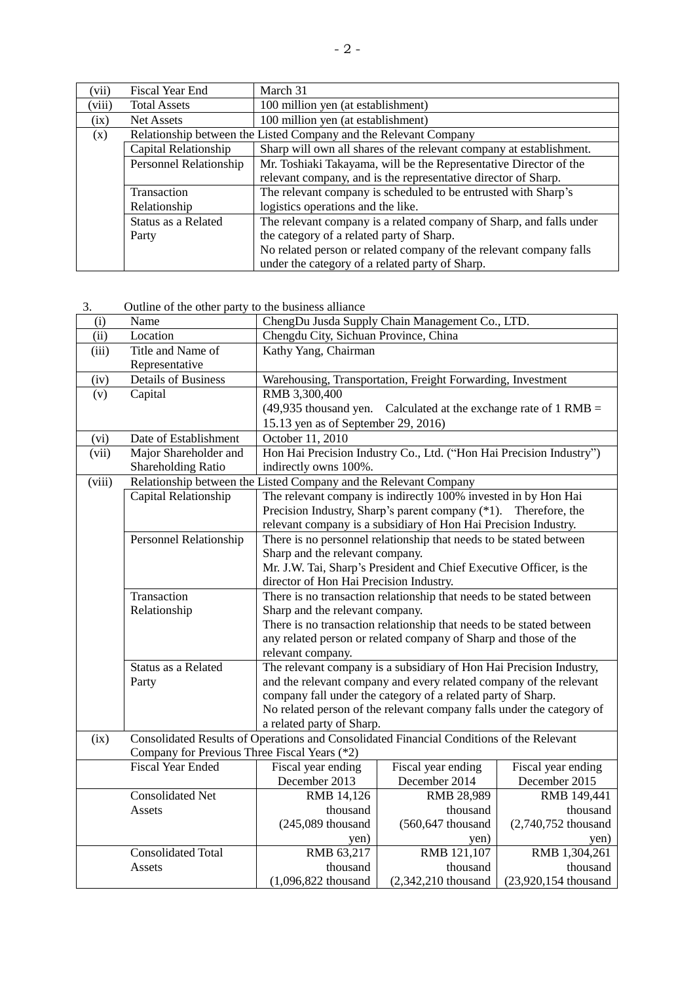| (vii)  | Fiscal Year End                                                                            | March 31                                                            |  |  |
|--------|--------------------------------------------------------------------------------------------|---------------------------------------------------------------------|--|--|
| (viii) | <b>Total Assets</b>                                                                        | 100 million yen (at establishment)                                  |  |  |
| (ix)   | <b>Net Assets</b>                                                                          | 100 million yen (at establishment)                                  |  |  |
| (x)    | Relationship between the Listed Company and the Relevant Company                           |                                                                     |  |  |
|        | Capital Relationship                                                                       | Sharp will own all shares of the relevant company at establishment. |  |  |
|        | Personnel Relationship                                                                     | Mr. Toshiaki Takayama, will be the Representative Director of the   |  |  |
|        |                                                                                            | relevant company, and is the representative director of Sharp.      |  |  |
|        | Transaction                                                                                | The relevant company is scheduled to be entrusted with Sharp's      |  |  |
|        | Relationship                                                                               | logistics operations and the like.                                  |  |  |
|        | The relevant company is a related company of Sharp, and falls under<br>Status as a Related |                                                                     |  |  |
|        | Party                                                                                      | the category of a related party of Sharp.                           |  |  |
|        |                                                                                            | No related person or related company of the relevant company falls  |  |  |
|        |                                                                                            | under the category of a related party of Sharp.                     |  |  |

3. Outline of the other party to the business alliance

| (i)                        | Name                                                                                     | ChengDu Jusda Supply Chain Management Co., LTD.                                                    |                                                                     |                      |  |
|----------------------------|------------------------------------------------------------------------------------------|----------------------------------------------------------------------------------------------------|---------------------------------------------------------------------|----------------------|--|
| $\overline{(\mathrm{ii})}$ | Location                                                                                 | Chengdu City, Sichuan Province, China                                                              |                                                                     |                      |  |
| (iii)                      | Title and Name of                                                                        | Kathy Yang, Chairman                                                                               |                                                                     |                      |  |
|                            | Representative                                                                           |                                                                                                    |                                                                     |                      |  |
| (iv)                       | <b>Details of Business</b>                                                               | Warehousing, Transportation, Freight Forwarding, Investment                                        |                                                                     |                      |  |
| (v)                        | Capital                                                                                  | RMB 3,300,400                                                                                      |                                                                     |                      |  |
|                            |                                                                                          | $(49,935)$ thousand yen. Calculated at the exchange rate of 1 RMB =                                |                                                                     |                      |  |
|                            |                                                                                          | 15.13 yen as of September 29, 2016)                                                                |                                                                     |                      |  |
| (vi)                       | Date of Establishment                                                                    | October 11, 2010                                                                                   |                                                                     |                      |  |
| (vii)                      | Major Shareholder and                                                                    |                                                                                                    | Hon Hai Precision Industry Co., Ltd. ("Hon Hai Precision Industry") |                      |  |
|                            | Shareholding Ratio                                                                       | indirectly owns 100%.                                                                              |                                                                     |                      |  |
| (viii)                     |                                                                                          | Relationship between the Listed Company and the Relevant Company                                   |                                                                     |                      |  |
|                            | Capital Relationship                                                                     | The relevant company is indirectly 100% invested in by Hon Hai                                     |                                                                     |                      |  |
|                            |                                                                                          | Precision Industry, Sharp's parent company (*1). Therefore, the                                    |                                                                     |                      |  |
|                            |                                                                                          | relevant company is a subsidiary of Hon Hai Precision Industry.                                    |                                                                     |                      |  |
|                            | <b>Personnel Relationship</b>                                                            | There is no personnel relationship that needs to be stated between                                 |                                                                     |                      |  |
|                            |                                                                                          | Sharp and the relevant company.                                                                    |                                                                     |                      |  |
|                            |                                                                                          | Mr. J.W. Tai, Sharp's President and Chief Executive Officer, is the                                |                                                                     |                      |  |
|                            |                                                                                          | director of Hon Hai Precision Industry.                                                            |                                                                     |                      |  |
|                            | Transaction                                                                              | There is no transaction relationship that needs to be stated between                               |                                                                     |                      |  |
|                            | Relationship                                                                             | Sharp and the relevant company.                                                                    |                                                                     |                      |  |
|                            |                                                                                          | There is no transaction relationship that needs to be stated between                               |                                                                     |                      |  |
|                            |                                                                                          | any related person or related company of Sharp and those of the                                    |                                                                     |                      |  |
|                            | Status as a Related                                                                      | relevant company.                                                                                  |                                                                     |                      |  |
|                            |                                                                                          |                                                                                                    | The relevant company is a subsidiary of Hon Hai Precision Industry, |                      |  |
|                            | Party                                                                                    |                                                                                                    | and the relevant company and every related company of the relevant  |                      |  |
|                            |                                                                                          | company fall under the category of a related party of Sharp.                                       |                                                                     |                      |  |
|                            |                                                                                          | No related person of the relevant company falls under the category of<br>a related party of Sharp. |                                                                     |                      |  |
| (ix)                       | Consolidated Results of Operations and Consolidated Financial Conditions of the Relevant |                                                                                                    |                                                                     |                      |  |
|                            | Company for Previous Three Fiscal Years (*2)                                             |                                                                                                    |                                                                     |                      |  |
|                            | <b>Fiscal Year Ended</b>                                                                 | Fiscal year ending                                                                                 | Fiscal year ending                                                  | Fiscal year ending   |  |
|                            |                                                                                          | December 2013                                                                                      | December 2014                                                       | December 2015        |  |
|                            | <b>Consolidated Net</b>                                                                  | RMB 14,126                                                                                         | RMB 28,989                                                          | RMB 149,441          |  |
|                            | Assets                                                                                   | thousand                                                                                           | thousand                                                            | thousand             |  |
|                            |                                                                                          | $(245,089$ thousand                                                                                | (560,647 thousand                                                   | (2,740,752 thousand  |  |
|                            |                                                                                          | yen)                                                                                               | yen)                                                                | yen)                 |  |
|                            | <b>Consolidated Total</b>                                                                | RMB 63,217                                                                                         | RMB 121,107                                                         | RMB 1,304,261        |  |
|                            | Assets                                                                                   | thousand                                                                                           | thousand                                                            | thousand             |  |
|                            |                                                                                          | $(1,096,822)$ thousand                                                                             | (2,342,210 thousand                                                 | (23,920,154 thousand |  |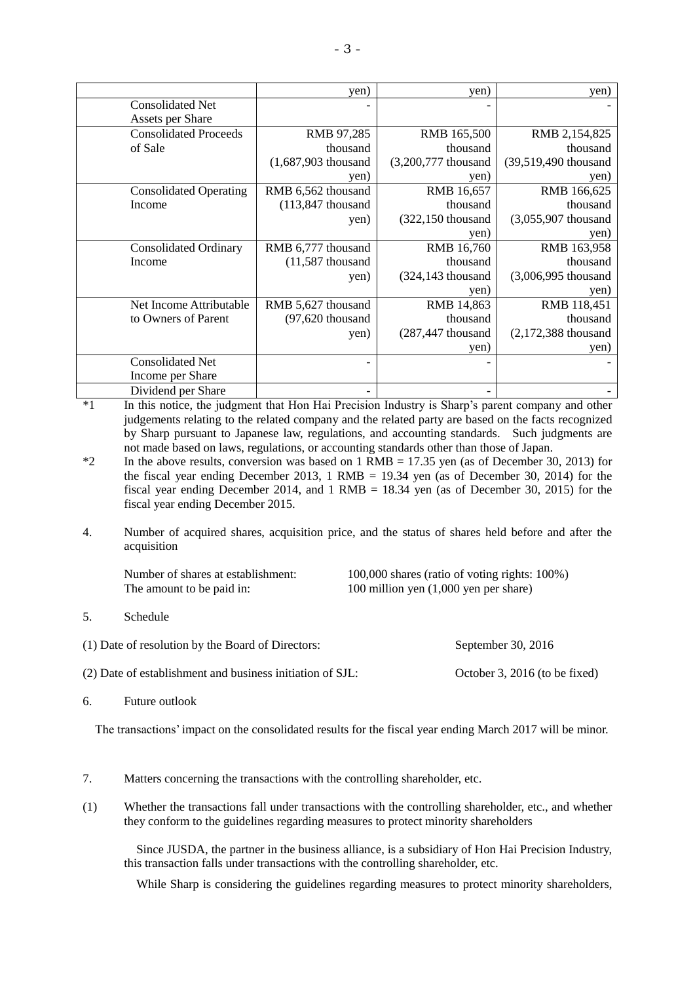|                               | yen)                   | yen)                  | yen)                   |
|-------------------------------|------------------------|-----------------------|------------------------|
| <b>Consolidated Net</b>       |                        |                       |                        |
| Assets per Share              |                        |                       |                        |
| <b>Consolidated Proceeds</b>  | RMB 97,285             | RMB 165,500           | RMB 2,154,825          |
| of Sale                       | thousand               | thousand              | thousand               |
|                               | $(1,687,903)$ thousand | (3,200,777 thousand   | (39,519,490 thousand   |
|                               | yen)                   | yen)                  | yen)                   |
| <b>Consolidated Operating</b> | RMB 6,562 thousand     | RMB 16,657            | RMB 166,625            |
| Income                        | $(113,847)$ thousand   | thousand              | thousand               |
|                               | yen)                   | (322,150 thousand     | $(3,055,907)$ thousand |
|                               |                        | yen)                  | yen)                   |
| <b>Consolidated Ordinary</b>  | RMB 6,777 thousand     | <b>RMB</b> 16,760     | RMB 163,958            |
| Income                        | $(11,587)$ thousand    | thousand              | thousand               |
|                               | yen)                   | $(324, 143)$ thousand | (3,006,995 thousand    |
|                               |                        | yen)                  | yen)                   |
| Net Income Attributable       | RMB 5,627 thousand     | RMB 14,863            | RMB 118,451            |
| to Owners of Parent           | $(97, 620$ thousand    | thousand              | thousand               |
|                               | yen)                   | $(287, 447)$ thousand | $(2,172,388)$ thousand |
|                               |                        | yen)                  | yen)                   |
| <b>Consolidated Net</b>       |                        |                       |                        |
| Income per Share              |                        |                       |                        |
| Dividend per Share            |                        |                       |                        |

\*1 In this notice, the judgment that Hon Hai Precision Industry is Sharp's parent company and other judgements relating to the related company and the related party are based on the facts recognized by Sharp pursuant to Japanese law, regulations, and accounting standards. Such judgments are not made based on laws, regulations, or accounting standards other than those of Japan.

- $*2$  In the above results, conversion was based on 1 RMB = 17.35 yen (as of December 30, 2013) for the fiscal year ending December 2013, 1 RMB = 19.34 yen (as of December 30, 2014) for the fiscal year ending December 2014, and  $1$  RMB = 18.34 yen (as of December 30, 2015) for the fiscal year ending December 2015.
- 4. Number of acquired shares, acquisition price, and the status of shares held before and after the acquisition

The amount to be paid in: 100 million yen (1,000 yen per share)

Number of shares at establishment: 100,000 shares (ratio of voting rights: 100%)

(1) Date of resolution by the Board of Directors: September 30, 2016

(2) Date of establishment and business initiation of SJL: October 3, 2016 (to be fixed)

6. Future outlook

The transactions' impact on the consolidated results for the fiscal year ending March 2017 will be minor.

- 7. Matters concerning the transactions with the controlling shareholder, etc.
- (1) Whether the transactions fall under transactions with the controlling shareholder, etc., and whether they conform to the guidelines regarding measures to protect minority shareholders

Since JUSDA, the partner in the business alliance, is a subsidiary of Hon Hai Precision Industry, this transaction falls under transactions with the controlling shareholder, etc.

While Sharp is considering the guidelines regarding measures to protect minority shareholders,

<sup>5.</sup> Schedule